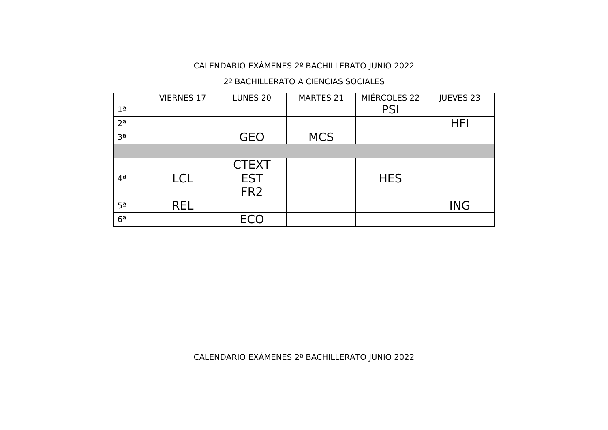#### 2º BACHILLERATO A CIENCIAS SOCIALES

|                     | <b>VIERNES 17</b> | LUNES <sub>20</sub>                           | <b>MARTES 21</b> | MIÉRCOLES 22 | JUEVES 23  |
|---------------------|-------------------|-----------------------------------------------|------------------|--------------|------------|
| 1 <sup>a</sup>      |                   |                                               |                  | <b>PSI</b>   |            |
| $2^{\underline{a}}$ |                   |                                               |                  |              | <b>HFI</b> |
| 3 <sup>a</sup>      |                   | <b>GEO</b>                                    | <b>MCS</b>       |              |            |
|                     |                   |                                               |                  |              |            |
| $4^{\underline{a}}$ | <b>LCL</b>        | <b>CTEXT</b><br><b>EST</b><br>FR <sub>2</sub> |                  | <b>HES</b>   |            |
| 5 <sup>a</sup>      | <b>REL</b>        |                                               |                  |              | <b>ING</b> |
| 6 <sup>2</sup>      |                   | <b>ECO</b>                                    |                  |              |            |

CALENDARIO EXÁMENES 2º BACHILLERATO JUNIO 2022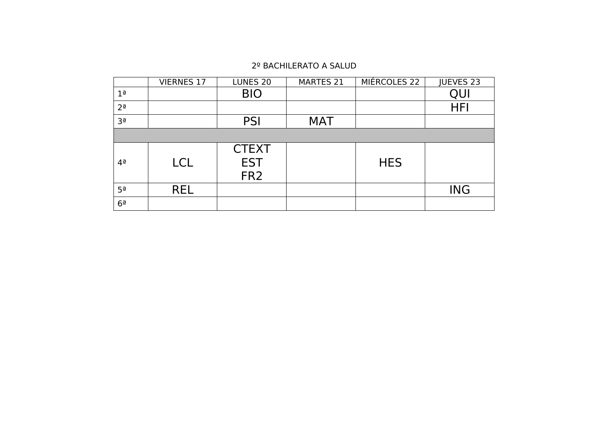#### 2º BACHILERATO A SALUD

|                     | <b>VIERNES 17</b> | LUNES <sub>20</sub>                           | <b>MARTES 21</b> | MIÉRCOLES 22 | JUEVES 23  |
|---------------------|-------------------|-----------------------------------------------|------------------|--------------|------------|
| 1 <sup>a</sup>      |                   | <b>BIO</b>                                    |                  |              | QUI        |
| $2^{\underline{a}}$ |                   |                                               |                  |              | <b>HFI</b> |
| Зª                  |                   | <b>PSI</b>                                    | <b>MAT</b>       |              |            |
|                     |                   |                                               |                  |              |            |
| $4^{\underline{a}}$ | <b>LCL</b>        | <b>CTEXT</b><br><b>EST</b><br>FR <sub>2</sub> |                  | <b>HES</b>   |            |
| 5 <sup>a</sup>      | <b>REL</b>        |                                               |                  |              | <b>ING</b> |
| 6 <sup>2</sup>      |                   |                                               |                  |              |            |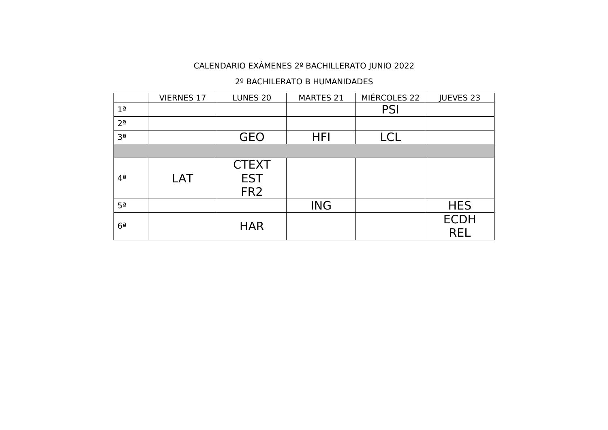#### 2º BACHILERATO B HUMANIDADES

|                     | <b>VIERNES 17</b> | LUNES <sub>20</sub>                           | MARTES 21  | MIÉRCOLES 22 | JUEVES 23                 |
|---------------------|-------------------|-----------------------------------------------|------------|--------------|---------------------------|
| 1 <sup>a</sup>      |                   |                                               |            | <b>PSI</b>   |                           |
| 2 <sup>a</sup>      |                   |                                               |            |              |                           |
| 3 <sup>a</sup>      |                   | <b>GEO</b>                                    | <b>HFI</b> | <b>LCL</b>   |                           |
|                     |                   |                                               |            |              |                           |
| $4^{\underline{a}}$ | LAT               | <b>CTEXT</b><br><b>EST</b><br>FR <sub>2</sub> |            |              |                           |
| 5 <sup>a</sup>      |                   |                                               | <b>ING</b> |              | <b>HES</b>                |
| 6 <sup>a</sup>      |                   | <b>HAR</b>                                    |            |              | <b>ECDH</b><br><b>REL</b> |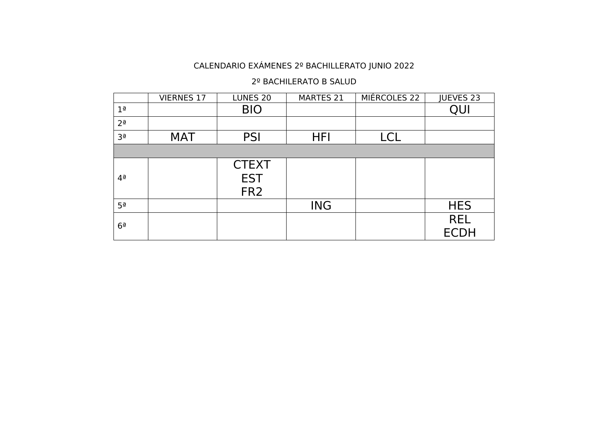#### 2º BACHILERATO B SALUD

|                     | <b>VIERNES 17</b> | LUNES 20                                      | MARTES 21  | MIÉRCOLES 22 | JUEVES 23                 |
|---------------------|-------------------|-----------------------------------------------|------------|--------------|---------------------------|
| 1 <sup>a</sup>      |                   | <b>BIO</b>                                    |            |              | QUI                       |
| $2^{\underline{a}}$ |                   |                                               |            |              |                           |
| 3 <sup>a</sup>      | <b>MAT</b>        | <b>PSI</b>                                    | <b>HFI</b> | <b>LCL</b>   |                           |
|                     |                   |                                               |            |              |                           |
| $4^{\underline{a}}$ |                   | <b>CTEXT</b><br><b>EST</b><br>FR <sub>2</sub> |            |              |                           |
| 5 <sup>a</sup>      |                   |                                               | <b>ING</b> |              | <b>HES</b>                |
| 6 <sup>a</sup>      |                   |                                               |            |              | <b>REL</b><br><b>ECDH</b> |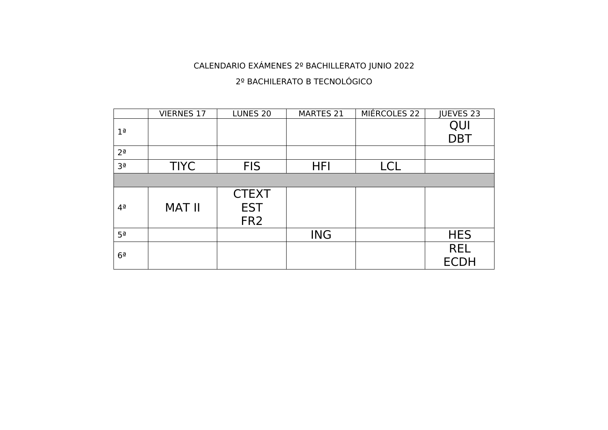#### 2º BACHILERATO B TECNOLÓGICO

|                     | <b>VIERNES 17</b> | LUNES <sub>20</sub>                           | <b>MARTES 21</b> | MIÉRCOLES 22 | JUEVES 23   |
|---------------------|-------------------|-----------------------------------------------|------------------|--------------|-------------|
| 1 <sup>a</sup>      |                   |                                               |                  |              | QUI         |
|                     |                   |                                               |                  |              | <b>DBT</b>  |
| $2^{\underline{a}}$ |                   |                                               |                  |              |             |
| 3 <sup>a</sup>      | <b>TIYC</b>       | <b>FIS</b>                                    | <b>HFI</b>       | <b>LCL</b>   |             |
|                     |                   |                                               |                  |              |             |
| $4^{\underline{a}}$ | <b>MAT II</b>     | <b>CTEXT</b><br><b>EST</b><br>FR <sub>2</sub> |                  |              |             |
| 5 <sup>a</sup>      |                   |                                               | <b>ING</b>       |              | <b>HES</b>  |
| $6^{\overline{a}}$  |                   |                                               |                  |              | <b>REL</b>  |
|                     |                   |                                               |                  |              | <b>ECDH</b> |